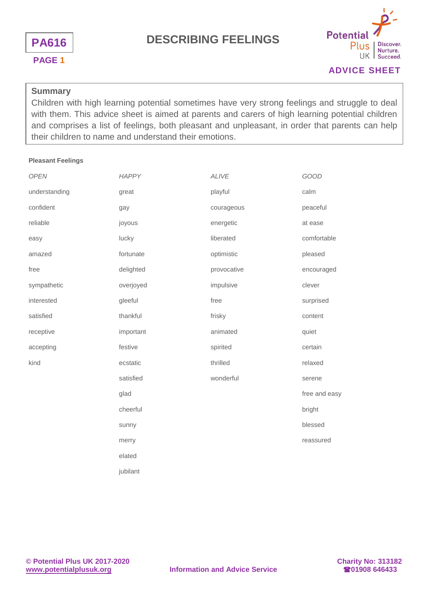



### **ADVICE SHEET**

#### **Summary**

Children with high learning potential sometimes have very strong feelings and struggle to deal with them. This advice sheet is aimed at parents and carers of high learning potential children and comprises a list of feelings, both pleasant and unpleasant, in order that parents can help their children to name and understand their emotions.

#### **Pleasant Feelings**

| <b>OPEN</b>   | <b>HAPPY</b> | <b>ALIVE</b> | GOOD          |
|---------------|--------------|--------------|---------------|
| understanding | great        | playful      | calm          |
| confident     | gay          | courageous   | peaceful      |
| reliable      | joyous       | energetic    | at ease       |
| easy          | lucky        | liberated    | comfortable   |
| amazed        | fortunate    | optimistic   | pleased       |
| free          | delighted    | provocative  | encouraged    |
| sympathetic   | overjoyed    | impulsive    | clever        |
| interested    | gleeful      | free         | surprised     |
| satisfied     | thankful     | frisky       | content       |
| receptive     | important    | animated     | quiet         |
| accepting     | festive      | spirited     | certain       |
| kind          | ecstatic     | thrilled     | relaxed       |
|               | satisfied    | wonderful    | serene        |
|               | glad         |              | free and easy |
|               | cheerful     |              | bright        |
|               | sunny        |              | blessed       |
|               | merry        |              | reassured     |
|               | elated       |              |               |
|               | jubilant     |              |               |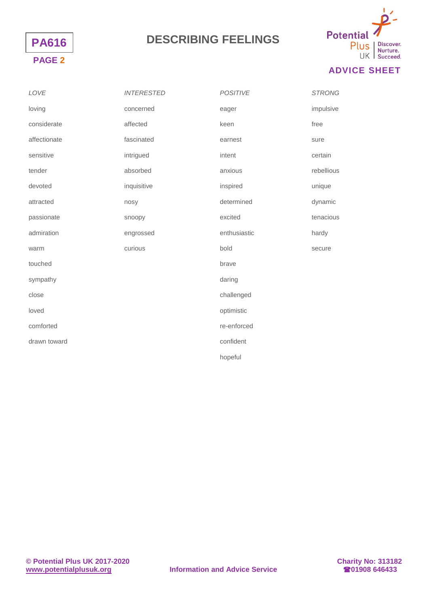



### **ADVICE SHEET**

| LOVE         | <b>INTERESTED</b> | <b>POSITIVE</b> | <b>STRONG</b> |
|--------------|-------------------|-----------------|---------------|
| loving       | concerned         | eager           | impulsive     |
| considerate  | affected          | keen            | free          |
| affectionate | fascinated        | earnest         | sure          |
| sensitive    | intrigued         | intent          | certain       |
| tender       | absorbed          | anxious         | rebellious    |
| devoted      | inquisitive       | inspired        | unique        |
| attracted    | nosy              | determined      | dynamic       |
| passionate   | snoopy            | excited         | tenacious     |
| admiration   | engrossed         | enthusiastic    | hardy         |
| warm         | curious           | bold            | secure        |
| touched      |                   | brave           |               |
| sympathy     |                   | daring          |               |
| close        |                   | challenged      |               |
| loved        |                   | optimistic      |               |
| comforted    |                   | re-enforced     |               |
| drawn toward |                   | confident       |               |
|              |                   | hopeful         |               |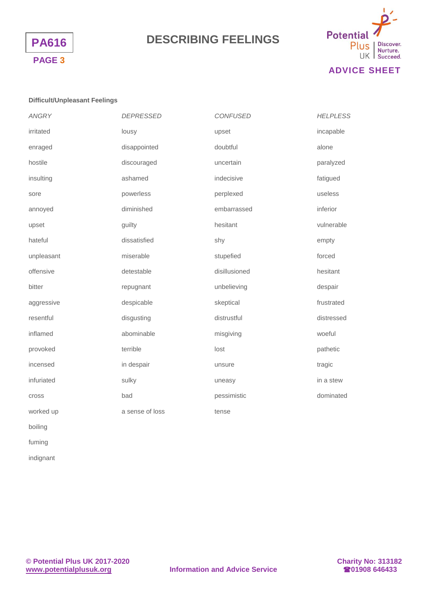



### **ADVICE SHEET**

#### **Difficult/Unpleasant Feelings**

| <b>ANGRY</b> | <b>DEPRESSED</b> | <b>CONFUSED</b> | <b>HELPLESS</b> |
|--------------|------------------|-----------------|-----------------|
| irritated    | lousy            | upset           | incapable       |
| enraged      | disappointed     | doubtful        | alone           |
| hostile      | discouraged      | uncertain       | paralyzed       |
| insulting    | ashamed          | indecisive      | fatigued        |
| sore         | powerless        | perplexed       | useless         |
| annoyed      | diminished       | embarrassed     | inferior        |
| upset        | guilty           | hesitant        | vulnerable      |
| hateful      | dissatisfied     | shy             | empty           |
| unpleasant   | miserable        | stupefied       | forced          |
| offensive    | detestable       | disillusioned   | hesitant        |
| bitter       | repugnant        | unbelieving     | despair         |
| aggressive   | despicable       | skeptical       | frustrated      |
| resentful    | disgusting       | distrustful     | distressed      |
| inflamed     | abominable       | misgiving       | woeful          |
| provoked     | terrible         | lost            | pathetic        |
| incensed     | in despair       | unsure          | tragic          |
| infuriated   | sulky            | uneasy          | in a stew       |
| cross        | bad              | pessimistic     | dominated       |
| worked up    | a sense of loss  | tense           |                 |
|              |                  |                 |                 |

boiling

fuming

indignant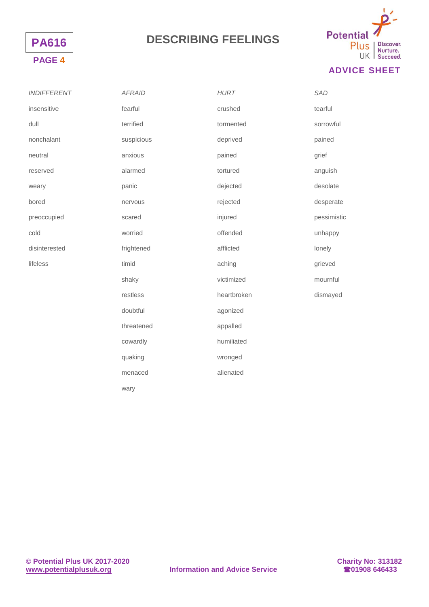



### **ADVICE SHEET**

| <b>INDIFFERENT</b> | <b>AFRAID</b> | <b>HURT</b> | <b>SAD</b>  |
|--------------------|---------------|-------------|-------------|
| insensitive        | fearful       | crushed     | tearful     |
| dull               | terrified     | tormented   | sorrowful   |
| nonchalant         | suspicious    | deprived    | pained      |
| neutral            | anxious       | pained      | grief       |
| reserved           | alarmed       | tortured    | anguish     |
| weary              | panic         | dejected    | desolate    |
| bored              | nervous       | rejected    | desperate   |
| preoccupied        | scared        | injured     | pessimistic |
| cold               | worried       | offended    | unhappy     |
| disinterested      | frightened    | afflicted   | lonely      |
| lifeless           | timid         | aching      | grieved     |
|                    | shaky         | victimized  | mournful    |
|                    | restless      | heartbroken | dismayed    |
|                    | doubtful      | agonized    |             |
|                    | threatened    | appalled    |             |
|                    | cowardly      | humiliated  |             |
|                    | quaking       | wronged     |             |
|                    | menaced       | alienated   |             |

wary